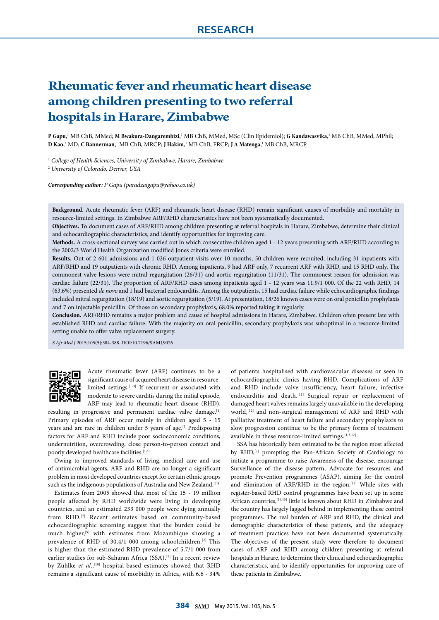# **Rheumatic fever and rheumatic heart disease among children presenting to two referral hospitals in Harare, Zimbabwe**

P Gapu,<sup>1</sup> MB ChB, MMed; M Bwakura-Dangarembizi,<sup>1</sup> MB ChB, MMed, MSc (Clin Epidemiol); G Kandawasvika,<sup>1</sup> MB ChB, MMed, MPhil; **D Kao**, 2 MD; **C Bannerman**, 1 MB ChB, MRCP; **J Hakim**, 1 MB ChB, FRCP; **J A Matenga**, 1 MB ChB, MRCP

<sup>1</sup> College of Health Sciences, University of Zimbabwe, Harare, Zimbabwe

2  *University of Colorado, Denver, USA*

*Corresponding author: P Gapu (paradzaigapu@yahoo.co.uk)*

**Background.** Acute rheumatic fever (ARF) and rheumatic heart disease (RHD) remain significant causes of morbidity and mortality in resource-limited settings. In Zimbabwe ARF/RHD characteristics have not been systematically documented.

**Objectives.** To document cases of ARF/RHD among children presenting at referral hospitals in Harare, Zimbabwe, determine their clinical and echocardiographic characteristics, and identify opportunities for improving care.

**Methods.** A cross-sectional survey was carried out in which consecutive children aged 1 - 12 years presenting with ARF/RHD according to the 2002/3 World Health Organization modified Jones criteria were enrolled.

**Results.** Out of 2 601 admissions and 1 026 outpatient visits over 10 months, 50 children were recruited, including 31 inpatients with ARF/RHD and 19 outpatients with chronic RHD. Among inpatients, 9 had ARF only, 7 recurrent ARF with RHD, and 15 RHD only. The commonest valve lesions were mitral regurgitation (26/31) and aortic regurgitation (11/31). The commonest reason for admission was cardiac failure (22/31). The proportion of ARF/RHD cases among inpatients aged 1 - 12 years was 11.9/1 000. Of the 22 with RHD, 14 (63.6%) presented *de novo* and 1 had bacterial endocarditis. Among the outpatients, 15 had cardiac failure while echocardiographic findings included mitral regurgitation (18/19) and aortic regurgitation (5/19). At presentation, 18/26 known cases were on oral penicillin prophylaxis and 7 on injectable penicillin. Of those on secondary prophylaxis, 68.0% reported taking it regularly.

**Conclusion.** ARF/RHD remains a major problem and cause of hospital admissions in Harare, Zimbabwe. Children often present late with established RHD and cardiac failure. With the majority on oral penicillin, secondary prophylaxis was suboptimal in a resource-limited setting unable to offer valve replacement surgery.

*S Afr Med J* 2015;105(5):384-388. DOI:10.7196/SAMJ.9076



Acute rheumatic fever (ARF) continues to be a significant cause of acquired heart disease in resourcelimited settings.[1-3] If recurrent or associated with moderate to severe carditis during the initial episode, ARF may lead to rheumatic heart disease (RHD),

resulting in progressive and permanent cardiac valve damage.<sup>[4]</sup> Primary episodes of ARF occur mainly in children aged 5 - 15 years and are rare in children under 5 years of age.<sup>[5]</sup> Predisposing factors for ARF and RHD include poor socioeconomic conditions, undernutrition, overcrowding, close person-to-person contact and poorly developed healthcare facilities.<sup>[1,6]</sup>

Owing to improved standards of living, medical care and use of antimicrobial agents, ARF and RHD are no longer a significant problem in most developed countries except for certain ethnic groups such as the indigenous populations of Australia and New Zealand.<sup>[7,8]</sup>

Estimates from 2005 showed that most of the 15 - 19 million people affected by RHD worldwide were living in developing countries, and an estimated 233 000 people were dying annually from RHD.<sup>[7]</sup> Recent estimates based on community-based echocardiographic screening suggest that the burden could be much higher,[9] with estimates from Mozambique showing a prevalence of RHD of 30.4/1 000 among schoolchildren.<sup>[2]</sup> This is higher than the estimated RHD prevalence of 5.7/1 000 from earlier studies for sub-Saharan Africa (SSA).<sup>[7]</sup> In a recent review by Zühlke et al.,<sup>[10]</sup> hospital-based estimates showed that RHD remains a significant cause of morbidity in Africa, with 6.6 - 34%

of patients hospitalised with cardiovascular diseases or seen in echocardiographic clinics having RHD. Complications of ARF and RHD include valve insufficiency, heart failure, infective endocarditis and death.<sup>[11]</sup> Surgical repair or replacement of damaged heart valves remains largely unavailable in the developing world,<sup>[12]</sup> and non-surgical management of ARF and RHD with palliative treatment of heart failure and secondary prophylaxis to slow progression continue to be the primary forms of treatment available in these resource-limited settings.<sup>[1,3,12]</sup>

SSA has historically been estimated to be the region most affected by RHD,<sup>[7]</sup> prompting the Pan-African Society of Cardiology to initiate a programme to raise Awareness of the disease, encourage Surveillance of the disease pattern, Advocate for resources and promote Prevention programmes (ASAP), aiming for the control and elimination of ARF/RHD in the region.<sup>[13]</sup> While sites with register-based RHD control programmes have been set up in some African countries,[14,15] little is known about RHD in Zimbabwe and the country has largely lagged behind in implementing these control programmes. The real burden of ARF and RHD, the clinical and demographic characteristics of these patients, and the adequacy of treatment practices have not been documented systematically. The objectives of the present study were therefore to document cases of ARF and RHD among children presenting at referral hospitals in Harare, to determine their clinical and echocardiographic characteristics, and to identify opportunities for improving care of these patients in Zimbabwe.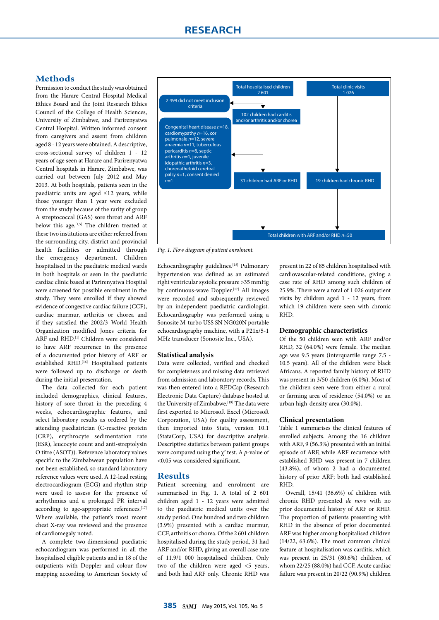## **Methods**

Permission to conduct the study was obtained from the Harare Central Hospital Medical Ethics Board and the Joint Research Ethics Council of the College of Health Sciences, University of Zimbabwe, and Parirenyatwa Central Hospital. Written informed consent from caregivers and assent from children aged 8 - 12 years were obtained. A descriptive, cross-sectional survey of children 1 - 12 years of age seen at Harare and Parirenyatwa Central hospitals in Harare, Zimbabwe, was carried out between July 2012 and May 2013. At both hospitals, patients seen in the paediatric units are aged ≤12 years, while those younger than 1 year were excluded from the study because of the rarity of group A streptococcal (GAS) sore throat and ARF below this age.<sup>[1,5]</sup> The children treated at these two institutions are either referred from the surrounding city, district and provincial health facilities or admitted through the emergency department. Children hospitalised in the paediatric medical wards in both hospitals or seen in the paediatric cardiac clinic based at Parirenyatwa Hospital were screened for possible enrolment in the study. They were enrolled if they showed evidence of congestive cardiac failure (CCF), cardiac murmur, arthritis or chorea and if they satisfied the 2002/3 World Health Organization modified Jones criteria for ARF and RHD.[1] Children were considered to have ARF recurrence in the presence of a documented prior history of ARF or established RHD.[16] Hospitalised patients were followed up to discharge or death during the initial presentation.

The data collected for each patient included demographics, clinical features, history of sore throat in the preceding 4 weeks, echocardiographic features, and select laboratory results as ordered by the attending paediatrician (C-reactive protein (CRP), erythrocyte sedimentation rate (ESR), leucocyte count and anti-streptolysin O titre (ASOT)). Reference laboratory values specific to the Zimbabwean population have not been established, so standard laboratory reference values were used. A 12-lead resting electrocardiogram (ECG) and rhythm strip were used to assess for the presence of arrhythmias and a prolonged PR interval according to age-appropriate references.<sup>[17]</sup> Where available, the patient's most recent chest X-ray was reviewed and the presence of cardiomegaly noted.

A complete two-dimensional paediatric echocardiogram was performed in all the hospitalised eligible patients and in 18 of the outpatients with Doppler and colour flow mapping according to American Society of



*Fig. 1. Flow diagram of patient enrolment.* 

Echocardiography guidelines.<sup>[18]</sup> Pulmonary hypertension was defined as an estimated right ventricular systolic pressure >35 mmHg by continuous-wave Doppler.<sup>[17]</sup> All images were recorded and subsequently reviewed by an independent paediatric cardiologist. Echocardiography was performed using a Sonosite M-turbo USS SN NG020N portable echocardiography machine, with a P21x/5-1 MHz transducer (Sonosite Inc., USA).

#### **Statistical analysis**

Data were collected, verified and checked for completeness and missing data retrieved from admission and laboratory records. This was then entered into a REDCap (Research Electronic Data Capture) database hosted at the University of Zimbabwe.<sup>[19]</sup> The data were first exported to Microsoft Excel (Microsoft Corporation, USA) for quality assessment, then imported into Stata, version 10.1 (StataCorp, USA) for descriptive analysis. Descriptive statistics between patient groups were compared using the  $\chi^2$  test. A *p*-value of <0.05 was considered significant.

#### **Results**

Patient screening and enrolment are summarised in Fig. 1. A total of 2 601 children aged 1 - 12 years were admitted to the paediatric medical units over the study period. One hundred and two children (3.9%) presented with a cardiac murmur, CCF, arthritis or chorea. Of the 2 601 children hospitalised during the study period, 31 had ARF and/or RHD, giving an overall case rate of 11.9/1 000 hospitalised children. Only two of the children were aged <5 years, and both had ARF only. Chronic RHD was

present in 22 of 85 children hospitalised with cardiovascular-related conditions, giving a case rate of RHD among such children of 25.9%. There were a total of 1 026 outpatient visits by children aged 1 - 12 years, from which 19 children were seen with chronic RHD.

#### **Demographic characteristics**

Of the 50 children seen with ARF and/or RHD, 32 (64.0%) were female. The median age was 9.5 years (interquartile range 7.5 - 10.5 years). All of the children were black Africans. A reported family history of RHD was present in 3/50 children (6.0%). Most of the children seen were from either a rural or farming area of residence (54.0%) or an urban high-density area (30.0%).

#### **Clinical presentation**

Table 1 summarises the clinical features of enrolled subjects. Among the 16 children with ARF, 9 (56.3%) presented with an initial episode of ARF, while ARF recurrence with established RHD was present in 7 children (43.8%), of whom 2 had a documented history of prior ARF; both had established RHD.

Overall, 15/41 (36.6%) of children with chronic RHD presented *de novo* with no prior documented history of ARF or RHD. The proportion of patients presenting with RHD in the absence of prior documented ARF was higher among hospitalised children (14/22, 63.6%). The most common clinical feature at hospitalisation was carditis, which was present in 25/31 (80.6%) children, of whom 22/25 (88.0%) had CCF. Acute cardiac failure was present in 20/22 (90.9%) children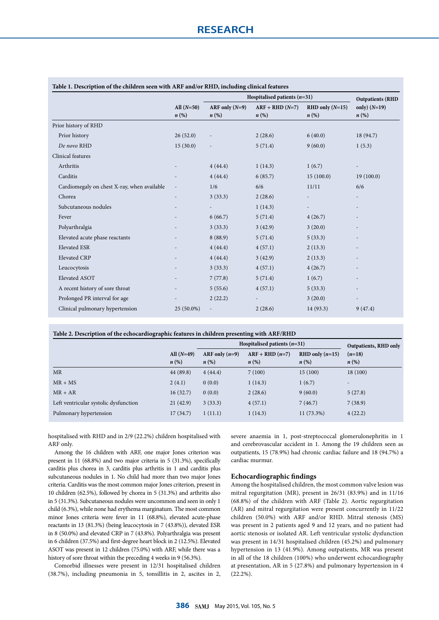|                                             | All $(N=50)$<br>$n\left(\%\right)$ | Hospitalised patients $(n=31)$         |                                         |                                           | <b>Outpatients (RHD</b>              |
|---------------------------------------------|------------------------------------|----------------------------------------|-----------------------------------------|-------------------------------------------|--------------------------------------|
|                                             |                                    | ARF only $(N=9)$<br>$n\left(\%\right)$ | $ARF + RHD (N=7)$<br>$n\left(\%\right)$ | $RHD$ only $(N=15)$<br>$n\left(\%\right)$ | only) $(N=19)$<br>$n\left(\%\right)$ |
| Prior history of RHD                        |                                    |                                        |                                         |                                           |                                      |
| Prior history                               | 26(52.0)                           | $\overline{a}$                         | 2(28.6)                                 | 6(40.0)                                   | 18 (94.7)                            |
| De novo RHD                                 | 15(30.0)                           |                                        | 5(71.4)                                 | 9(60.0)                                   | 1(5.3)                               |
| Clinical features                           |                                    |                                        |                                         |                                           |                                      |
| Arthritis                                   |                                    | 4(44.4)                                | 1(14.3)                                 | 1(6.7)                                    |                                      |
| Carditis                                    |                                    | 4(44.4)                                | 6(85.7)                                 | 15(100.0)                                 | 19(100.0)                            |
| Cardiomegaly on chest X-ray, when available | $\overline{\phantom{a}}$           | 1/6                                    | 6/6                                     | 11/11                                     | 6/6                                  |
| Chorea                                      | $\overline{\phantom{a}}$           | 3(33.3)                                | 2(28.6)                                 |                                           |                                      |
| Subcutaneous nodules                        |                                    |                                        | 1(14.3)                                 |                                           |                                      |
| Fever                                       |                                    | 6(66.7)                                | 5(71.4)                                 | 4(26.7)                                   |                                      |
| Polyarthralgia                              |                                    | 3(33.3)                                | 3(42.9)                                 | 3(20.0)                                   |                                      |
| Elevated acute phase reactants              |                                    | 8(88.9)                                | 5(71.4)                                 | 5(33.3)                                   |                                      |
| <b>Elevated ESR</b>                         |                                    | 4(44.4)                                | 4(57.1)                                 | 2(13.3)                                   |                                      |
| Elevated CRP                                |                                    | 4(44.4)                                | 3(42.9)                                 | 2(13.3)                                   |                                      |
| Leucocytosis                                |                                    | 3(33.3)                                | 4(57.1)                                 | 4(26.7)                                   |                                      |
| Elevated ASOT                               |                                    | 7(77.8)                                | 5(71.4)                                 | 1(6.7)                                    |                                      |
| A recent history of sore throat             |                                    | 5(55.6)                                | 4(57.1)                                 | 5(33.3)                                   |                                      |
| Prolonged PR interval for age               |                                    | 2(22.2)                                | $\overline{\phantom{a}}$                | 3(20.0)                                   |                                      |
| Clinical pulmonary hypertension             | 25 (50.0%)                         | $\overline{a}$                         | 2(28.6)                                 | 14(93.3)                                  | 9(47.4)                              |

#### **Table 1. Description of the children seen with ARF and/or RHD, including clinical features**

| Table 2. Description of the echocardiographic features in children presenting with ARF/RHD |
|--------------------------------------------------------------------------------------------|
|                                                                                            |

|                                       |                                    | Hospitalised patients $(n=31)$         |                                        |                                         | Outpatients, RHD only          |
|---------------------------------------|------------------------------------|----------------------------------------|----------------------------------------|-----------------------------------------|--------------------------------|
|                                       | All $(N=49)$<br>$n\left(\%\right)$ | ARF only $(n=9)$<br>$n\left(\%\right)$ | $ARF + RHD(n=7)$<br>$n\left(\%\right)$ | RHD only $(n=15)$<br>$n\left(\%\right)$ | $(n=18)$<br>$n\left(\%\right)$ |
| <b>MR</b>                             | 44 (89.8)                          | 4(44.4)                                | 7(100)                                 | 15(100)                                 | 18(100)                        |
| $MR + MS$                             | 2(4.1)                             | 0(0.0)                                 | 1(14.3)                                | 1(6.7)                                  | $\overline{\phantom{0}}$       |
| $MR + AR$                             | 16(32.7)                           | 0(0.0)                                 | 2(28.6)                                | 9(60.0)                                 | 5(27.8)                        |
| Left ventricular systolic dysfunction | 21(42.9)                           | 3(33.3)                                | 4(57.1)                                | 7(46.7)                                 | 7(38.9)                        |
| Pulmonary hypertension                | 17(34.7)                           | 1(11.1)                                | 1(14.3)                                | $11(73.3\%)$                            | 4(22.2)                        |

hospitalised with RHD and in 2/9 (22.2%) children hospitalised with ARF only.

Among the 16 children with ARF, one major Jones criterion was present in 11 (68.8%) and two major criteria in 5 (31.3%), specifically carditis plus chorea in 3, carditis plus arthritis in 1 and carditis plus subcutaneous nodules in 1. No child had more than two major Jones criteria. Carditis was the most common major Jones criterion, present in 10 children (62.5%), followed by chorea in 5 (31.3%) and arthritis also in 5 (31.3%). Subcutaneous nodules were uncommon and seen in only 1 child (6.3%), while none had erythema marginatum. The most common minor Jones criteria were fever in 11 (68.8%), elevated acute-phase reactants in 13 (81.3%) (being leucocytosis in 7 (43.8%)), elevated ESR in 8 (50.0%) and elevated CRP in 7 (43.8%). Polyarthralgia was present in 6 children (37.5%) and first-degree heart block in 2 (12.5%). Elevated ASOT was present in 12 children (75.0%) with ARF, while there was a history of sore throat within the preceding 4 weeks in 9 (56.3%).

Comorbid illnesses were present in 12/31 hospitalised children (38.7%), including pneumonia in 5, tonsillitis in 2, ascites in 2, severe anaemia in 1, post-streptococcal glomerulonephritis in 1 and cerebrovascular accident in 1. Among the 19 children seen as outpatients, 15 (78.9%) had chronic cardiac failure and 18 (94.7%) a cardiac murmur.

#### **Echocardiographic findings**

Among the hospitalised children, the most common valve lesion was mitral regurgitation (MR), present in 26/31 (83.9%) and in 11/16 (68.8%) of the children with ARF (Table 2). Aortic regurgitation (AR) and mitral regurgitation were present concurrently in 11/22 children (50.0%) with ARF and/or RHD. Mitral stenosis (MS) was present in 2 patients aged 9 and 12 years, and no patient had aortic stenosis or isolated AR. Left ventricular systolic dysfunction was present in 14/31 hospitalised children (45.2%) and pulmonary hypertension in 13 (41.9%). Among outpatients, MR was present in all of the 18 children (100%) who underwent echocardiography at presentation, AR in 5 (27.8%) and pulmonary hypertension in 4 (22.2%).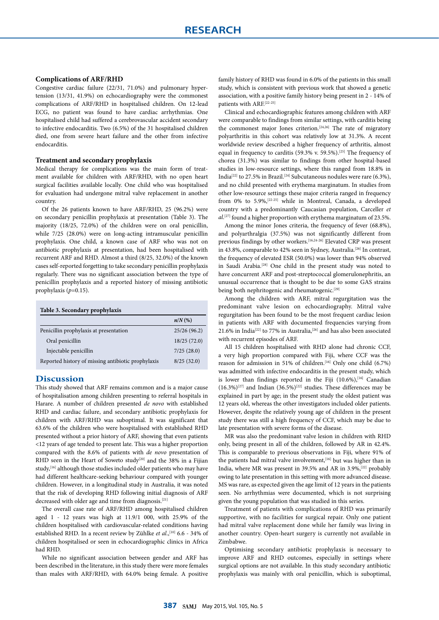#### **Complications of ARF/RHD**

Congestive cardiac failure (22/31, 71.0%) and pulmonary hypertension (13/31, 41.9%) on echocardiography were the commonest complications of ARF/RHD in hospitalised children. On 12-lead ECG, no patient was found to have cardiac arrhythmias. One hospitalised child had suffered a cerebrovascular accident secondary to infective endocarditis. Two (6.5%) of the 31 hospitalised children died, one from severe heart failure and the other from infective endocarditis.

#### **Treatment and secondary prophylaxis**

Medical therapy for complications was the main form of treatment available for children with ARF/RHD, with no open heart surgical facilities available locally. One child who was hospitalised for evaluation had undergone mitral valve replacement in another country.

Of the 26 patients known to have ARF/RHD, 25 (96.2%) were on secondary penicillin prophylaxis at presentation (Table 3). The majority (18/25, 72.0%) of the children were on oral penicillin, while 7/25 (28.0%) were on long-acting intramuscular penicillin prophylaxis. One child, a known case of ARF who was not on antibiotic prophylaxis at presentation, had been hospitalised with recurrent ARF and RHD. Almost a third (8/25, 32.0%) of the known cases self-reported forgetting to take secondary penicillin prophylaxis regularly. There was no significant association between the type of penicillin prophylaxis and a reported history of missing antibiotic prophylaxis (*p*=0.15).

#### **Table 3. Secondary prophylaxis**

|                                                    | $n/N$ (%)   |
|----------------------------------------------------|-------------|
| Penicillin prophylaxis at presentation             | 25/26(96.2) |
| Oral penicillin                                    | 18/25(72.0) |
| Injectable penicillin                              | 7/25(28.0)  |
| Reported history of missing antibiotic prophylaxis | 8/25(32.0)  |

#### **Discussion**

This study showed that ARF remains common and is a major cause of hospitalisation among children presenting to referral hospitals in Harare. A number of children presented *de novo* with established RHD and cardiac failure, and secondary antibiotic prophylaxis for children with ARF/RHD was suboptimal. It was significant that 63.6% of the children who were hospitalised with established RHD presented without a prior history of ARF, showing that even patients <12 years of age tended to present late. This was a higher proportion compared with the 8.6% of patients with *de novo* presentation of RHD seen in the Heart of Soweto study<sup>[20]</sup> and the 38% in a Fijian study,<sup>[16]</sup> although those studies included older patients who may have had different healthcare-seeking behaviour compared with younger children. However, in a longitudinal study in Australia, it was noted that the risk of developing RHD following initial diagnosis of ARF decreased with older age and time from diagnosis.[21]

The overall case rate of ARF/RHD among hospitalised children aged 1 - 12 years was high at 11.9/1 000, with 25.9% of the children hospitalised with cardiovascular-related conditions having established RHD. In a recent review by Zühlke et al.,<sup>[10]</sup> 6.6 - 34% of children hospitalised or seen in echocardiographic clinics in Africa had RHD.

While no significant association between gender and ARF has been described in the literature, in this study there were more females than males with ARF/RHD, with 64.0% being female. A positive

family history of RHD was found in 6.0% of the patients in this small study, which is consistent with previous work that showed a genetic association, with a positive family history being present in 2 - 14% of patients with ARF.[22-25]

Clinical and echocardiographic features among children with ARF were comparable to findings from similar settings, with carditis being the commonest major Jones criterion.<sup>[24,26]</sup> The rate of migratory polyarthritis in this cohort was relatively low at 31.3%. A recent worldwide review described a higher frequency of arthritis, almost equal in frequency to carditis (59.3% v. 59.5%).[25] The frequency of chorea (31.3%) was similar to findings from other hospital-based studies in low-resource settings, where this ranged from 18.8% in India<sup>[22]</sup> to 27.5% in Brazil.<sup>[24]</sup> Subcutaneous nodules were rare (6.3%), and no child presented with erythema marginatum. In studies from other low-resource settings these major criteria ranged in frequency from 0% to 5.9%,[22-25] while in Montreal, Canada, a developed country with a predominantly Caucasian population, Carceller *et al*. [27] found a higher proportion with erythema marginatum of 23.5%.

Among the minor Jones criteria, the frequency of fever (68.8%), and polyarthralgia (37.5%) was not significantly different from previous findings by other workers.[16,24-26] Elevated CRP was present in 43.8%, comparable to 42% seen in Sydney, Australia.<sup>[26]</sup> In contrast, the frequency of elevated ESR (50.0%) was lower than 94% observed in Saudi Arabia.[28] One child in the present study was noted to have concurrent ARF and post-streptococcal glomerulonephritis, an unusual occurrence that is thought to be due to some GAS strains being both nephritogenic and rheumatogenic.<sup>[29]</sup>

Among the children with ARF, mitral regurgitation was the predominant valve lesion on echocardiography. Mitral valve regurgitation has been found to be the most frequent cardiac lesion in patients with ARF with documented frequencies varying from 21.6% in India<sup>[22]</sup> to 77% in Australia,<sup>[26]</sup> and has also been associated with recurrent episodes of ARF.

All 15 children hospitalised with RHD alone had chronic CCF, a very high proportion compared with Fiji, where CCF was the reason for admission in 51% of children.<sup>[16]</sup> Only one child (6.7%) was admitted with infective endocarditis in the present study, which is lower than findings reported in the Fiji  $(10.6\%)$ , [16] Canadian  $(16.3\%)^{[27]}$  and Indian  $(36.5\%)^{[22]}$  studies. These differences may be explained in part by age; in the present study the oldest patient was 12 years old, whereas the other investigators included older patients. However, despite the relatively young age of children in the present study there was still a high frequency of CCF, which may be due to late presentation with severe forms of the disease.

MR was also the predominant valve lesion in children with RHD only, being present in all of the children, followed by AR in 42.4%. This is comparable to previous observations in Fiji, where 91% of the patients had mitral valve involvement,<sup>[16]</sup> but was higher than in India, where MR was present in 39.5% and AR in 3.9%,<sup>[22]</sup> probably owing to late presentation in this setting with more advanced disease. MS was rare, as expected given the age limit of 12 years in the patients seen. No arrhythmias were documented, which is not surprising given the young population that was studied in this series.

Treatment of patients with complications of RHD was primarily supportive, with no facilities for surgical repair. Only one patient had mitral valve replacement done while her family was living in another country. Open-heart surgery is currently not available in Zimbabwe.

Optimising secondary antibiotic prophylaxis is necessary to improve ARF and RHD outcomes, especially in settings where surgical options are not available. In this study secondary antibiotic prophylaxis was mainly with oral penicillin, which is suboptimal,